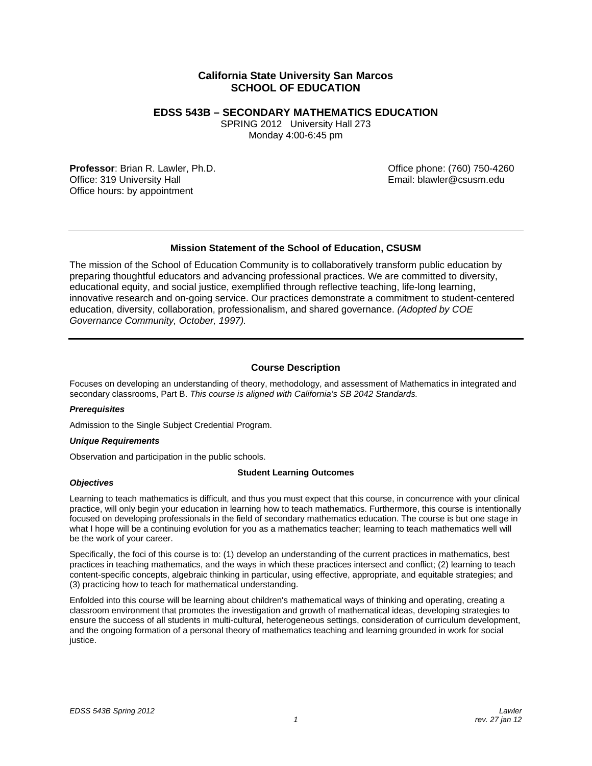# **California State University San Marcos SCHOOL OF EDUCATION**

# **EDSS 543B – SECONDARY MATHEMATICS EDUCATION**

SPRING 2012 University Hall 273 Monday 4:00-6:45 pm

**Professor**: Brian R. Lawler, Ph.D. Canadian Communication Communication Communication Communication Communication Communication Communication Communication Communication Communication Communication Communication Communica Office: 319 University Hall **Email: blawler@csusm.edu** Email: blawler@csusm.edu Office hours: by appointment

# **Mission Statement of the School of Education, CSUSM**

The mission of the School of Education Community is to collaboratively transform public education by preparing thoughtful educators and advancing professional practices. We are committed to diversity, educational equity, and social justice, exemplified through reflective teaching, life-long learning, innovative research and on-going service. Our practices demonstrate a commitment to student-centered education, diversity, collaboration, professionalism, and shared governance. *(Adopted by COE Governance Community, October, 1997).* 

# **Course Description**

Focuses on developing an understanding of theory, methodology, and assessment of Mathematics in integrated and secondary classrooms, Part B. *This course is aligned with California's SB 2042 Standards.* 

## *Prerequisites*

Admission to the Single Subject Credential Program.

## *Unique Requirements*

Observation and participation in the public schools.

## **Student Learning Outcomes**

## *Objectives*

Learning to teach mathematics is difficult, and thus you must expect that this course, in concurrence with your clinical practice, will only begin your education in learning how to teach mathematics. Furthermore, this course is intentionally focused on developing professionals in the field of secondary mathematics education. The course is but one stage in what I hope will be a continuing evolution for you as a mathematics teacher; learning to teach mathematics well will be the work of your career.

Specifically, the foci of this course is to: (1) develop an understanding of the current practices in mathematics, best practices in teaching mathematics, and the ways in which these practices intersect and conflict; (2) learning to teach content-specific concepts, algebraic thinking in particular, using effective, appropriate, and equitable strategies; and (3) practicing how to teach for mathematical understanding.

Enfolded into this course will be learning about children's mathematical ways of thinking and operating, creating a classroom environment that promotes the investigation and growth of mathematical ideas, developing strategies to ensure the success of all students in multi-cultural, heterogeneous settings, consideration of curriculum development, and the ongoing formation of a personal theory of mathematics teaching and learning grounded in work for social justice.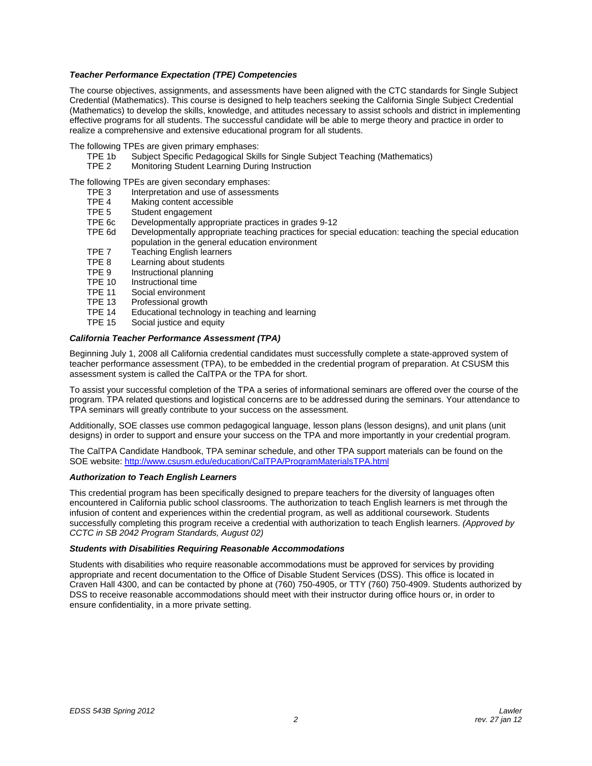## *Teacher Performance Expectation (TPE) Competencies*

The course objectives, assignments, and assessments have been aligned with the CTC standards for Single Subject Credential (Mathematics). This course is designed to help teachers seeking the California Single Subject Credential (Mathematics) to develop the skills, knowledge, and attitudes necessary to assist schools and district in implementing effective programs for all students. The successful candidate will be able to merge theory and practice in order to realize a comprehensive and extensive educational program for all students.

- The following TPEs are given primary emphases:
	- TPE 1b Subject Specific Pedagogical Skills for Single Subject Teaching (Mathematics)
	- TPE 2 Monitoring Student Learning During Instruction

The following TPEs are given secondary emphases:

- TPE 3 Interpretation and use of assessments<br>TPE 4 Making content accessible
- TPE 4 Making content accessible<br>TPE 5 Student engagement
- Student engagement
- TPE 6c Developmentally appropriate practices in grades 9-12
- TPE 6d Developmentally appropriate teaching practices for special education: teaching the special education population in the general education environment
- TPE 7 Teaching English learners
- TPE 8 Learning about students
- TPE 9 Instructional planning<br>TPE 10 Instructional time
- TPE 10 Instructional time<br>TPE 11 Social environme
- TPE 11 Social environment<br>TPE 13 Professional growth
- Professional growth
- TPE 14 Educational technology in teaching and learning
- TPE 15 Social justice and equity

## *California Teacher Performance Assessment (TPA)*

Beginning July 1, 2008 all California credential candidates must successfully complete a state-approved system of teacher performance assessment (TPA), to be embedded in the credential program of preparation. At CSUSM this assessment system is called the CalTPA or the TPA for short.

To assist your successful completion of the TPA a series of informational seminars are offered over the course of the program. TPA related questions and logistical concerns are to be addressed during the seminars. Your attendance to TPA seminars will greatly contribute to your success on the assessment.

 designs) in order to support and ensure your success on the TPA and more importantly in your credential program. Additionally, SOE classes use common pedagogical language, lesson plans (lesson designs), and unit plans (unit

SOE website: http://www.csusm.edu/education/CalTPA/ProgramMaterialsTPA.html The CalTPA Candidate Handbook, TPA seminar schedule, and other TPA support materials can be found on the

#### *Authorization to Teach English Learners*

 *CCTC in SB 2042 Program Standards, August 02)* This credential program has been specifically designed to prepare teachers for the diversity of languages often encountered in California public school classrooms. The authorization to teach English learners is met through the infusion of content and experiences within the credential program, as well as additional coursework. Students successfully completing this program receive a credential with authorization to teach English learners. *(Approved by* 

#### *Students with Disabilities Requiring Reasonable Accommodations*

Students with disabilities who require reasonable accommodations must be approved for services by providing appropriate and recent documentation to the Office of Disable Student Services (DSS). This office is located in Craven Hall 4300, and can be contacted by phone at (760) 750-4905, or TTY (760) 750-4909. Students authorized by DSS to receive reasonable accommodations should meet with their instructor during office hours or, in order to ensure confidentiality, in a more private setting.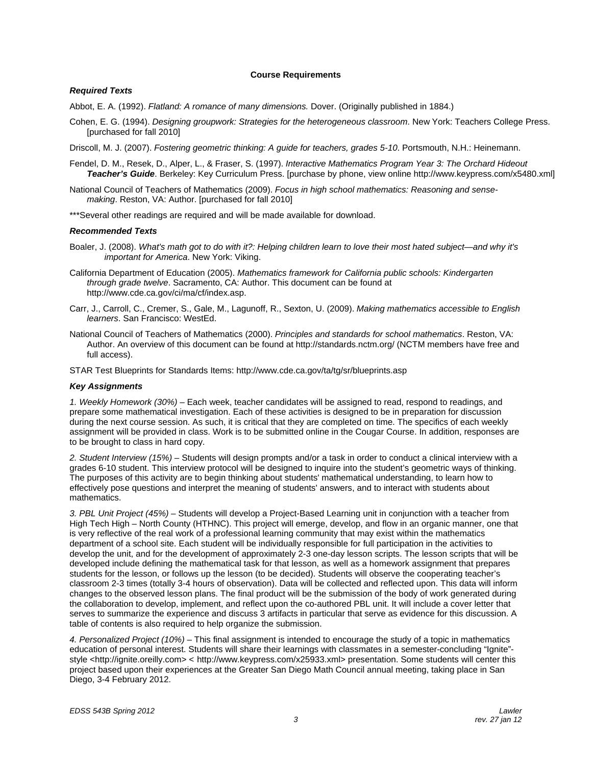### **Course Requirements**

### *Required Texts*

Abbot, E. A. (1992). *Flatland: A romance of many dimensions.* Dover. (Originally published in 1884.)

Cohen, E. G. (1994). *Designing groupwork: Strategies for the heterogeneous classroom*. New York: Teachers College Press. [purchased for fall 2010]

Driscoll, M. J. (2007). *Fostering geometric thinking: A guide for teachers, grades 5-10*. Portsmouth, N.H.: Heinemann.

- Fendel, D. M., Resek, D., Alper, L., & Fraser, S. (1997). *Interactive Mathematics Program Year 3: The Orchard Hideout Teacher's Guide*. Berkeley: Key Curriculum Press. [purchase by phone, view online http://www.keypress.com/x5480.xml]
- National Council of Teachers of Mathematics (2009). *Focus in high school mathematics: Reasoning and sensemaking*. Reston, VA: Author. [purchased for fall 2010]

\*\*\*Several other readings are required and will be made available for download.

#### *Recommended Texts*

- Boaler, J. (2008). *What's math got to do with it?: Helping children learn to love their most hated subject—and why it's important for America*. New York: Viking.
- California Department of Education (2005). *Mathematics framework for California public schools: Kindergarten through grade twelve*. Sacramento, CA: Author. This document can be found at http://www.cde.ca.gov/ci/ma/cf/index.asp.
- Carr, J., Carroll, C., Cremer, S., Gale, M., Lagunoff, R., Sexton, U. (2009). *Making mathematics accessible to English learners*. San Francisco: WestEd.
- National Council of Teachers of Mathematics (2000). *Principles and standards for school mathematics*. Reston, VA: Author. An overview of this document can be found at http://standards.nctm.org/ (NCTM members have free and full access).

STAR Test Blueprints for Standards Items: http://www.cde.ca.gov/ta/tg/sr/blueprints.asp

#### *Key Assignments*

*1. Weekly Homework (30%)* – Each week, teacher candidates will be assigned to read, respond to readings, and prepare some mathematical investigation. Each of these activities is designed to be in preparation for discussion during the next course session. As such, it is critical that they are completed on time. The specifics of each weekly assignment will be provided in class. Work is to be submitted online in the Cougar Course. In addition, responses are to be brought to class in hard copy.

 grades 6-10 student. This interview protocol will be designed to inquire into the student's geometric ways of thinking. *2. Student Interview (15%)* – Students will design prompts and/or a task in order to conduct a clinical interview with a The purposes of this activity are to begin thinking about students' mathematical understanding, to learn how to effectively pose questions and interpret the meaning of students' answers, and to interact with students about mathematics.

*3. PBL Unit Project (45%)* – Students will develop a Project-Based Learning unit in conjunction with a teacher from High Tech High – North County (HTHNC). This project will emerge, develop, and flow in an organic manner, one that is very reflective of the real work of a professional learning community that may exist within the mathematics department of a school site. Each student will be individually responsible for full participation in the activities to develop the unit, and for the development of approximately 2-3 one-day lesson scripts. The lesson scripts that will be developed include defining the mathematical task for that lesson, as well as a homework assignment that prepares students for the lesson, or follows up the lesson (to be decided). Students will observe the cooperating teacher's classroom 2-3 times (totally 3-4 hours of observation). Data will be collected and reflected upon. This data will inform changes to the observed lesson plans. The final product will be the submission of the body of work generated during the collaboration to develop, implement, and reflect upon the co-authored PBL unit. It will include a cover letter that serves to summarize the experience and discuss 3 artifacts in particular that serve as evidence for this discussion. A table of contents is also required to help organize the submission.

*4. Personalized Project (10%)* – This final assignment is intended to encourage the study of a topic in mathematics education of personal interest. Students will share their learnings with classmates in a semester-concluding "Ignite" style <http://ignite.oreilly.com> < http://www.keypress.com/x25933.xml> presentation. Some students will center this project based upon their experiences at the Greater San Diego Math Council annual meeting, taking place in San Diego, 3-4 February 2012.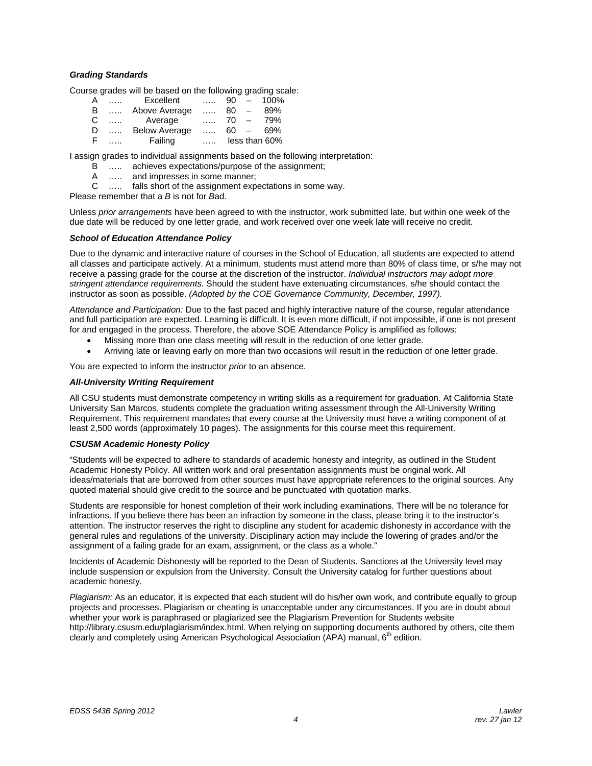## *Grading Standards*

Course grades will be based on the following grading scale:

| A  | 1.1.1.1  | Excellent            | 1.1.1.   | 90  | $\overline{\phantom{0}}$ | 100%          |
|----|----------|----------------------|----------|-----|--------------------------|---------------|
| B  | 1.1.1.   | Above Average        | $\cdots$ | 80  | $\overline{\phantom{a}}$ | 89%           |
| C  | $\ldots$ | Average              | 1.1.1    | 70  |                          | 79%           |
| D  |          | <b>Below Average</b> | 1.1.1.   | 60. | $\overline{\phantom{0}}$ | 69%           |
| -F |          | Failing              |          |     |                          | less than 60% |

I assign grades to individual assignments based on the following interpretation:

B ….. achieves expectations/purpose of the assignment;

A ….. and impresses in some manner;

C ….. falls short of the assignment expectations in some way.

Please remember that a *B* is not for *B*ad.

 due date will be reduced by one letter grade, and work received over one week late will receive no credit. Unless *prior arrangements* have been agreed to with the instructor, work submitted late, but within one week of the

### *School of Education Attendance Policy*

instructor as soon as possible. (Adopted by the COE Governance Community, December, 1997). Due to the dynamic and interactive nature of courses in the School of Education, all students are expected to attend all classes and participate actively. At a minimum, students must attend more than 80% of class time, or s/he may not receive a passing grade for the course at the discretion of the instructor. *Individual instructors may adopt more stringent attendance requirements*. Should the student have extenuating circumstances, s/he should contact the

Attendance and Participation: Due to the fast paced and highly interactive nature of the course, regular attendance and full participation are expected. Learning is difficult. It is even more difficult, if not impossible, if one is not present for and engaged in the process. Therefore, the above SOE Attendance Policy is amplified as follows:

- Missing more than one class meeting will result in the reduction of one letter grade.
- Arriving late or leaving early on more than two occasions will result in the reduction of one letter grade.

You are expected to inform the instructor *prior* to an absence.

### *All-University Writing Requirement*

All CSU students must demonstrate competency in writing skills as a requirement for graduation. At California State University San Marcos, students complete the graduation writing assessment through the All-University Writing Requirement. This requirement mandates that every course at the University must have a writing component of at least 2,500 words (approximately 10 pages). The assignments for this course meet this requirement.

#### *CSUSM Academic Honesty Policy*

"Students will be expected to adhere to standards of academic honesty and integrity, as outlined in the Student Academic Honesty Policy. All written work and oral presentation assignments must be original work. All ideas/materials that are borrowed from other sources must have appropriate references to the original sources. Any quoted material should give credit to the source and be punctuated with quotation marks.

Students are responsible for honest completion of their work including examinations. There will be no tolerance for infractions. If you believe there has been an infraction by someone in the class, please bring it to the instructor's attention. The instructor reserves the right to discipline any student for academic dishonesty in accordance with the general rules and regulations of the university. Disciplinary action may include the lowering of grades and/or the assignment of a failing grade for an exam, assignment, or the class as a whole."

Incidents of Academic Dishonesty will be reported to the Dean of Students. Sanctions at the University level may include suspension or expulsion from the University. Consult the University catalog for further questions about academic honesty.

*Plagiarism:* As an educator, it is expected that each student will do his/her own work, and contribute equally to group projects and processes. Plagiarism or cheating is unacceptable under any circumstances. If you are in doubt about whether your work is paraphrased or plagiarized see the Plagiarism Prevention for Students website http://library.csusm.edu/plagiarism/index.html. When relying on supporting documents authored by others, cite them clearly and completely using American Psychological Association (APA) manual, 6<sup>th</sup> edition.